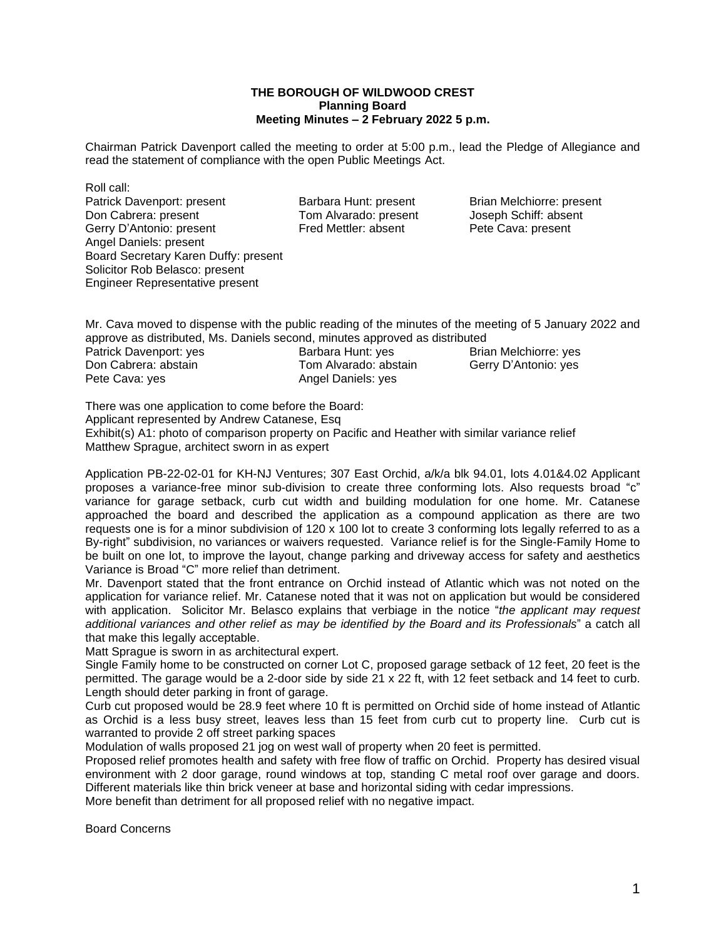## **THE BOROUGH OF WILDWOOD CREST Planning Board Meeting Minutes – 2 February 2022 5 p.m.**

Chairman Patrick Davenport called the meeting to order at 5:00 p.m., lead the Pledge of Allegiance and read the statement of compliance with the open Public Meetings Act.

Roll call: Patrick Davenport: present Barbara Hunt: present Brian Melchiorre: present Don Cabrera: present Brian Melchiorre: present Don Cabrera: present Brian Melchiorre: present Don Cabrera: present Don Cabrera: present Don Cabrera Gerry D'Antonio: present Fred Mettler: absent Pete Cava: present Angel Daniels: present Board Secretary Karen Duffy: present Solicitor Rob Belasco: present Engineer Representative present

Tom Alvarado: present

Mr. Cava moved to dispense with the public reading of the minutes of the meeting of 5 January 2022 and approve as distributed, Ms. Daniels second, minutes approved as distributed<br>Patrick Davenport: yes Barbara Hunt: yes Bria Patrick Davenport: yes **Barbara Hunt: yes** Brian Melchiorre: yes **Barbara Hunt: yes** Brian Melchiorre: yes **Barbara** Boom Cabrera: abstain by Tom Alvarado: abstain Gerry D'Antonio: yes

Pete Cava: yes Angel Daniels: yes

Tom Alvarado: abstain

There was one application to come before the Board: Applicant represented by Andrew Catanese, Esq Exhibit(s) A1: photo of comparison property on Pacific and Heather with similar variance relief Matthew Sprague, architect sworn in as expert

Application PB-22-02-01 for KH-NJ Ventures; 307 East Orchid, a/k/a blk 94.01, lots 4.01&4.02 Applicant proposes a variance-free minor sub-division to create three conforming lots. Also requests broad "c" variance for garage setback, curb cut width and building modulation for one home. Mr. Catanese approached the board and described the application as a compound application as there are two requests one is for a minor subdivision of 120 x 100 lot to create 3 conforming lots legally referred to as a By-right" subdivision, no variances or waivers requested. Variance relief is for the Single-Family Home to be built on one lot, to improve the layout, change parking and driveway access for safety and aesthetics Variance is Broad "C" more relief than detriment.

Mr. Davenport stated that the front entrance on Orchid instead of Atlantic which was not noted on the application for variance relief. Mr. Catanese noted that it was not on application but would be considered with application. Solicitor Mr. Belasco explains that verbiage in the notice "*the applicant may request additional variances and other relief as may be identified by the Board and its Professionals*" a catch all that make this legally acceptable.

Matt Sprague is sworn in as architectural expert.

Single Family home to be constructed on corner Lot C, proposed garage setback of 12 feet, 20 feet is the permitted. The garage would be a 2-door side by side 21 x 22 ft, with 12 feet setback and 14 feet to curb. Length should deter parking in front of garage.

Curb cut proposed would be 28.9 feet where 10 ft is permitted on Orchid side of home instead of Atlantic as Orchid is a less busy street, leaves less than 15 feet from curb cut to property line. Curb cut is warranted to provide 2 off street parking spaces

Modulation of walls proposed 21 jog on west wall of property when 20 feet is permitted.

Proposed relief promotes health and safety with free flow of traffic on Orchid. Property has desired visual environment with 2 door garage, round windows at top, standing C metal roof over garage and doors. Different materials like thin brick veneer at base and horizontal siding with cedar impressions.

More benefit than detriment for all proposed relief with no negative impact.

Board Concerns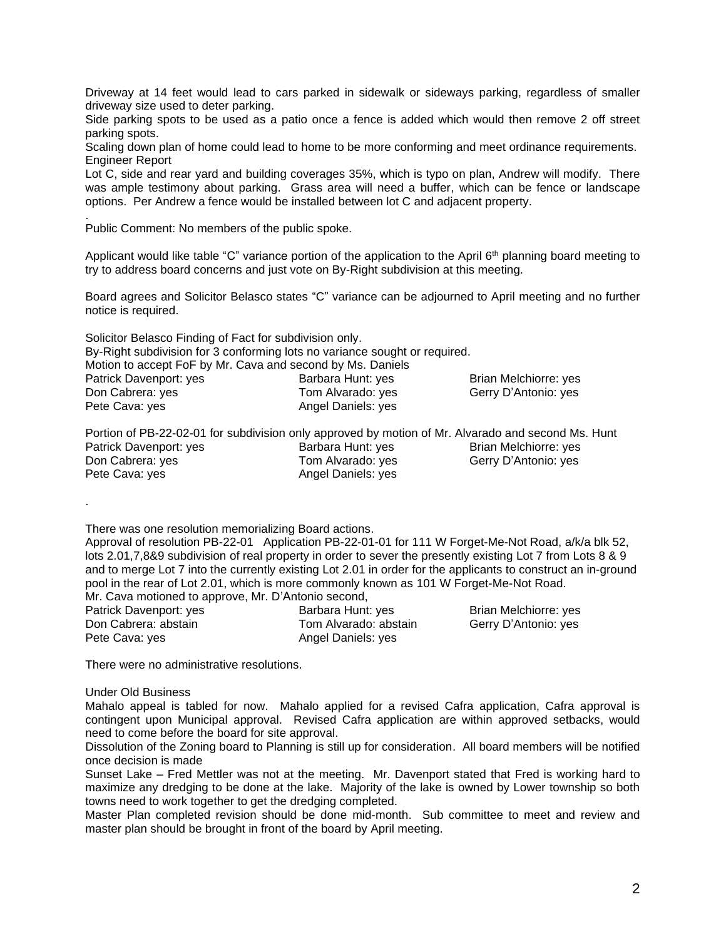Driveway at 14 feet would lead to cars parked in sidewalk or sideways parking, regardless of smaller driveway size used to deter parking.

Side parking spots to be used as a patio once a fence is added which would then remove 2 off street parking spots.

Scaling down plan of home could lead to home to be more conforming and meet ordinance requirements. Engineer Report

Lot C, side and rear yard and building coverages 35%, which is typo on plan, Andrew will modify. There was ample testimony about parking. Grass area will need a buffer, which can be fence or landscape options. Per Andrew a fence would be installed between lot C and adjacent property.

Public Comment: No members of the public spoke.

.

.

Applicant would like table "C" variance portion of the application to the April 6<sup>th</sup> planning board meeting to try to address board concerns and just vote on By-Right subdivision at this meeting.

Board agrees and Solicitor Belasco states "C" variance can be adjourned to April meeting and no further notice is required.

| Solicitor Belasco Finding of Fact for subdivision only.    |                                                                            |                       |
|------------------------------------------------------------|----------------------------------------------------------------------------|-----------------------|
|                                                            | By-Right subdivision for 3 conforming lots no variance sought or required. |                       |
| Motion to accept FoF by Mr. Cava and second by Ms. Daniels |                                                                            |                       |
| Patrick Davenport: yes                                     | Barbara Hunt: yes                                                          | Brian Melchiorre: yes |
| Don Cabrera: yes                                           | Tom Alvarado: yes                                                          | Gerry D'Antonio: yes  |
| Pete Cava: yes                                             | Angel Daniels: yes                                                         |                       |

Portion of PB-22-02-01 for subdivision only approved by motion of Mr. Alvarado and second Ms. Hunt Patrick Davenport: yes **Barbara Hunt: yes** Brian Melchiorre: yes Don Cabrera: yes Tom Alvarado: yes Gerry D'Antonio: yes Gerry D'Antonio: yes Pete Cava: yes Angel Daniels: yes

There was one resolution memorializing Board actions.

Approval of resolution PB-22-01 Application PB-22-01-01 for 111 W Forget-Me-Not Road, a/k/a blk 52, lots 2.01,7,8&9 subdivision of real property in order to sever the presently existing Lot 7 from Lots 8 & 9 and to merge Lot 7 into the currently existing Lot 2.01 in order for the applicants to construct an in-ground pool in the rear of Lot 2.01, which is more commonly known as 101 W Forget-Me-Not Road. Mr. Cava motioned to approve, Mr. D'Antonio second,

Patrick Davenport: yes Barbara Hunt: yes Brian Melchiorre: yes Brian Melchiorre: yes Don Cabrera: abstain Tom Alvarado: abstain Gerry D'Antonio: yes Pete Cava: yes **Angel Daniels:** yes

There were no administrative resolutions.

Under Old Business

Mahalo appeal is tabled for now. Mahalo applied for a revised Cafra application, Cafra approval is contingent upon Municipal approval. Revised Cafra application are within approved setbacks, would need to come before the board for site approval.

Dissolution of the Zoning board to Planning is still up for consideration. All board members will be notified once decision is made

Sunset Lake – Fred Mettler was not at the meeting. Mr. Davenport stated that Fred is working hard to maximize any dredging to be done at the lake. Majority of the lake is owned by Lower township so both towns need to work together to get the dredging completed.

Master Plan completed revision should be done mid-month. Sub committee to meet and review and master plan should be brought in front of the board by April meeting.